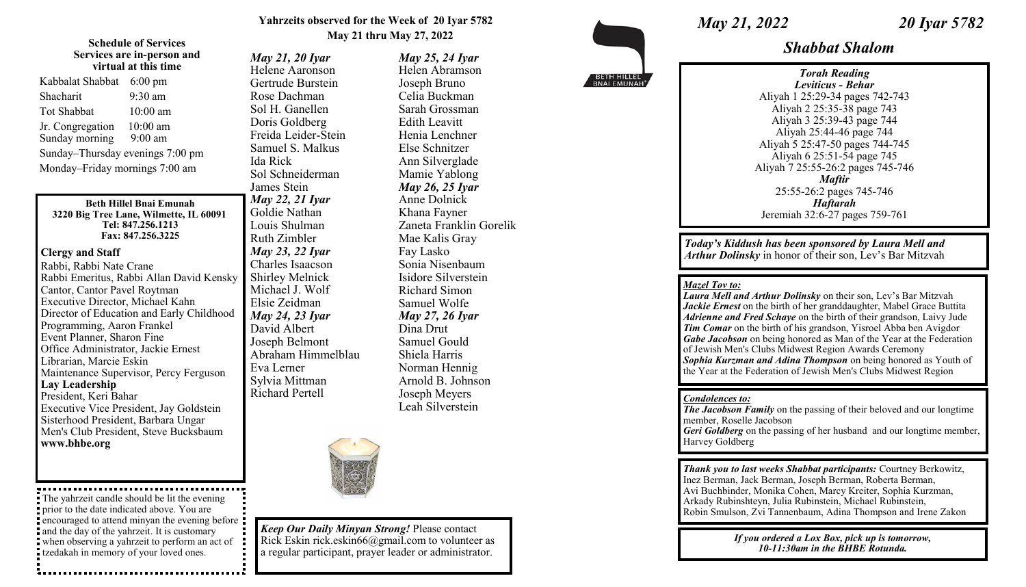## **Yahrzeits observed for the Week of 20 Iyar 5782 May 21 thru May 27, 2022**

*May 25, 24 Iyar* Helen Abramson Joseph Bruno Celia Buckman Sarah Grossman Edith Leavitt Henia Lenchner Else Schnitzer Ann Silverglade Mamie Yablong *May 26, 25 Iyar* Anne Dolnick Khana Fayner

Zaneta Franklin Gorelik

Mae Kalis Gray Fay Lasko

Sonia Nisenbaum Isidore Silverstein Richard Simon Samuel Wolfe *May 27, 26 Iyar* Dina Drut Samuel Gould Shiela Harris Norman Hennig Arnold B. Johnson Joseph Meyers Leah Silverstein

#### **Schedule of Services Services are in-person and virtual at this time**

| Kabbalat Shabbat                 | $6:00 \text{ pm}$ |
|----------------------------------|-------------------|
| Shacharit                        | $9:30$ am         |
| Tot Shabbat                      | $10:00$ am        |
| Jr. Congregation                 | $10:00$ am        |
| Sunday morning                   | $9:00$ am         |
| Sunday-Thursday evenings 7:00 pm |                   |
| Monday-Friday mornings 7:00 am   |                   |

#### **Beth Hillel Bnai Emunah 3220 Big Tree Lane, Wilmette, IL 60091 Tel: 847.256.1213 Fax: 847.256.3225**

## **Clergy and Staff**

Rabbi, Rabbi Nate Crane Rabbi Emeritus, Rabbi Allan David Kensky Cantor, Cantor Pavel Roytman Executive Director, Michael Kahn Director of Education and Early Childhood Programming, Aaron Frankel Event Planner, Sharon Fine Office Administrator, Jackie Ernest Librarian, Marcie Eskin Maintenance Supervisor, Percy Ferguson **Lay Leadership** President, Keri Bahar Executive Vice President, Jay Goldstein Sisterhood President, Barbara Ungar Men's Club President, Steve Bucksbaum **www.bhbe.org**

The yahrzeit candle should be lit the evening prior to the date indicated above. You are encouraged to attend minyan the evening before and the day of the yahrzeit. It is customary when observing a yahrzeit to perform an act of tzedakah in memory of your loved ones.

*May 21, 20 Iyar* Helene Aaronson Gertrude Burstein Rose Dachman Sol H. Ganellen Doris Goldberg Freida Leider-Stein Samuel S. Malkus Ida Rick Sol Schneiderman James Stein *May 22, 21 Iyar* Goldie Nathan Louis Shulman Ruth Zimbler *May 23, 22 Iyar* Charles Isaacson Shirley Melnick Michael J. Wolf Elsie Zeidman *May 24, 23 Iyar* David Albert Joseph Belmont Abraham Himmelblau Eva Lerner Sylvia Mittman Richard Pertell



*Keep Our Daily Minyan Strong!* Please contact Rick Eskin rick.eskin66@gmail.com to volunteer as a regular participant, prayer leader or administrator.

*May 21, 2022 20 Iyar 5782* 

*Shabbat Shalom*

*Torah Reading Leviticus - Behar* Aliyah 1 25:29-34 pages 742-743 Aliyah 2 25:35-38 page 743 Aliyah 3 25:39-43 page 744 Aliyah 25:44-46 page 744 Aliyah 5 25:47-50 pages 744-745 Aliyah 6 25:51-54 page 745 Aliyah 7 25:55-26:2 pages 745-746 *Maftir* 25:55-26:2 pages 745-746 *Haftarah* Jeremiah 32:6-27 pages 759-761

*Today's Kiddush has been sponsored by Laura Mell and Arthur Dolinsky* in honor of their son, Lev's Bar Mitzvah

# *Mazel Tov to:*

*Laura Mell and Arthur Dolinsky* on their son, Lev's Bar Mitzvah Jackie Ernest on the birth of her granddaughter, Mabel Grace Buttita *Adrienne and Fred Schaye* on the birth of their grandson, Laivy Jude *Tim Comar* on the birth of his grandson, Yisroel Abba ben Avigdor *Gabe Jacobson* on being honored as Man of the Year at the Federation of Jewish Men's Clubs Midwest Region Awards Ceremony *Sophia Kurzman and Adina Thompson* on being honored as Youth of the Year at the Federation of Jewish Men's Clubs Midwest Region

### *Condolences to:*

*The Jacobson Family* on the passing of their beloved and our longtime member, Roselle Jacobson *Geri Goldberg* on the passing of her husband and our longtime member, Harvey Goldberg

*Thank you to last weeks Shabbat participants:* Courtney Berkowitz, Inez Berman, Jack Berman, Joseph Berman, Roberta Berman, Avi Buchbinder, Monika Cohen, Marcy Kreiter, Sophia Kurzman, Arkady Rubinshteyn, Julia Rubinstein, Michael Rubinstein, Robin Smulson, Zvi Tannenbaum, Adina Thompson and Irene Zakon

> *If you ordered a Lox Box, pick up is tomorrow, 10-11:30am in the BHBE Rotunda.*

BETH HILLEL